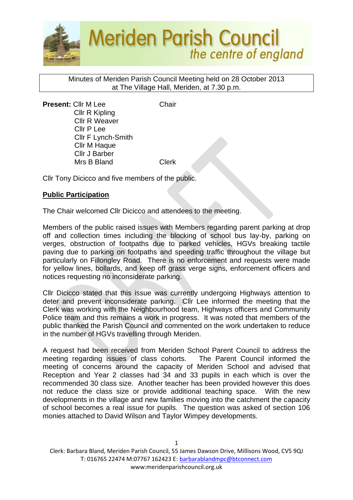

Minutes of Meriden Parish Council Meeting held on 28 October 2013 at The Village Hall, Meriden, at 7.30 p.m.

**Present:** Cllr M Lee Chair Cllr R Kipling Cllr R Weaver Cllr P Lee Cllr F Lynch-Smith Cllr M Haque Cllr J Barber Mrs B Bland Clerk

Cllr Tony Dicicco and five members of the public.

## **Public Participation**

The Chair welcomed Cllr Dicicco and attendees to the meeting.

Members of the public raised issues with Members regarding parent parking at drop off and collection times including the blocking of school bus lay-by, parking on verges, obstruction of footpaths due to parked vehicles, HGVs breaking tactile paving due to parking on footpaths and speeding traffic throughout the village but particularly on Fillongley Road. There is no enforcement and requests were made for yellow lines, bollards, and keep off grass verge signs, enforcement officers and notices requesting no inconsiderate parking.

Cllr Dicicco stated that this issue was currently undergoing Highways attention to deter and prevent inconsiderate parking. Cllr Lee informed the meeting that the Clerk was working with the Neighbourhood team, Highways officers and Community Police team and this remains a work in progress. It was noted that members of the public thanked the Parish Council and commented on the work undertaken to reduce in the number of HGVs travelling through Meriden.

A request had been received from Meriden School Parent Council to address the meeting regarding issues of class cohorts. The Parent Council informed the meeting of concerns around the capacity of Meriden School and advised that Reception and Year 2 classes had 34 and 33 pupils in each which is over the recommended 30 class size. Another teacher has been provided however this does not reduce the class size or provide additional teaching space. With the new developments in the village and new families moving into the catchment the capacity of school becomes a real issue for pupils. The question was asked of section 106 monies attached to David Wilson and Taylor Wimpey developments.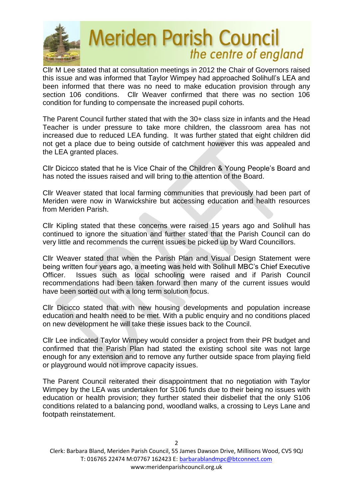

Cllr M Lee stated that at consultation meetings in 2012 the Chair of Governors raised this issue and was informed that Taylor Wimpey had approached Solihull's LEA and been informed that there was no need to make education provision through any section 106 conditions. Cllr Weaver confirmed that there was no section 106 condition for funding to compensate the increased pupil cohorts.

The Parent Council further stated that with the 30+ class size in infants and the Head Teacher is under pressure to take more children, the classroom area has not increased due to reduced LEA funding. It was further stated that eight children did not get a place due to being outside of catchment however this was appealed and the LEA granted places.

Cllr Dicicco stated that he is Vice Chair of the Children & Young People's Board and has noted the issues raised and will bring to the attention of the Board.

Cllr Weaver stated that local farming communities that previously had been part of Meriden were now in Warwickshire but accessing education and health resources from Meriden Parish.

Cllr Kipling stated that these concerns were raised 15 years ago and Solihull has continued to ignore the situation and further stated that the Parish Council can do very little and recommends the current issues be picked up by Ward Councillors.

Cllr Weaver stated that when the Parish Plan and Visual Design Statement were being written four years ago, a meeting was held with Solihull MBC's Chief Executive Officer. Issues such as local schooling were raised and if Parish Council recommendations had been taken forward then many of the current issues would have been sorted out with a long term solution focus.

Cllr Dicicco stated that with new housing developments and population increase education and health need to be met. With a public enquiry and no conditions placed on new development he will take these issues back to the Council.

Cllr Lee indicated Taylor Wimpey would consider a project from their PR budget and confirmed that the Parish Plan had stated the existing school site was not large enough for any extension and to remove any further outside space from playing field or playground would not improve capacity issues.

The Parent Council reiterated their disappointment that no negotiation with Taylor Wimpey by the LEA was undertaken for S106 funds due to their being no issues with education or health provision; they further stated their disbelief that the only S106 conditions related to a balancing pond, woodland walks, a crossing to Leys Lane and footpath reinstatement.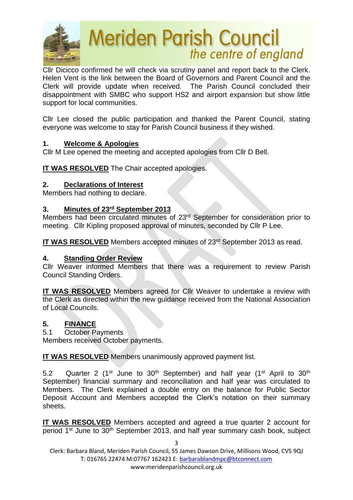

Cllr Dicicco confirmed he will check via scrutiny panel and report back to the Clerk. Helen Vent is the link between the Board of Governors and Parent Council and the Clerk will provide update when received. The Parish Council concluded their disappointment with SMBC who support HS2 and airport expansion but show little support for local communities.

Cllr Lee closed the public participation and thanked the Parent Council, stating everyone was welcome to stay for Parish Council business if they wished.

## **1. Welcome & Apologies**

Cllr M Lee opened the meeting and accepted apologies from Cllr D Bell.

**IT WAS RESOLVED** The Chair accepted apologies.

### **2. Declarations of Interest**

Members had nothing to declare.

## **3. Minutes of 23rd September 2013**

Members had been circulated minutes of 23rd September for consideration prior to meeting. Cllr Kipling proposed approval of minutes, seconded by Cllr P Lee.

IT WAS RESOLVED Members accepted minutes of 23<sup>rd</sup> September 2013 as read.

## **4. Standing Order Review**

Cllr Weaver informed Members that there was a requirement to review Parish Council Standing Orders.

**IT WAS RESOLVED** Members agreed for Cllr Weaver to undertake a review with the Clerk as directed within the new guidance received from the National Association of Local Councils.

## **5. FINANCE**

5.1 October Payments

Members received October payments.

**IT WAS RESOLVED** Members unanimously approved payment list.

5.2 Quarter 2 (1<sup>st</sup> June to 30<sup>th</sup> September) and half year (1<sup>st</sup> April to 30<sup>th</sup> September) financial summary and reconciliation and half year was circulated to Members. The Clerk explained a double entry on the balance for Public Sector Deposit Account and Members accepted the Clerk's notation on their summary sheets.

**IT WAS RESOLVED** Members accepted and agreed a true quarter 2 account for period 1<sup>st</sup> June to 30<sup>th</sup> September 2013, and half year summary cash book, subject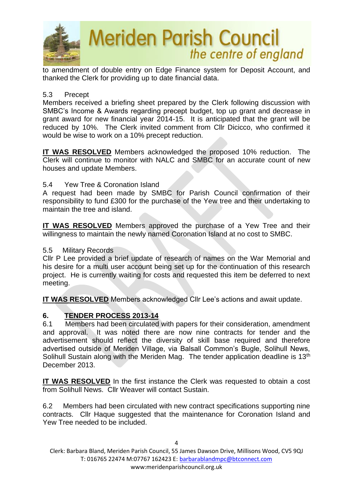

to amendment of double entry on Edge Finance system for Deposit Account, and thanked the Clerk for providing up to date financial data.

#### 5.3 Precept

Members received a briefing sheet prepared by the Clerk following discussion with SMBC's Income & Awards regarding precept budget, top up grant and decrease in grant award for new financial year 2014-15. It is anticipated that the grant will be reduced by 10%. The Clerk invited comment from Cllr Dicicco, who confirmed it would be wise to work on a 10% precept reduction.

**IT WAS RESOLVED** Members acknowledged the proposed 10% reduction. The Clerk will continue to monitor with NALC and SMBC for an accurate count of new houses and update Members.

### 5.4 Yew Tree & Coronation Island

A request had been made by SMBC for Parish Council confirmation of their responsibility to fund £300 for the purchase of the Yew tree and their undertaking to maintain the tree and island.

**IT WAS RESOLVED** Members approved the purchase of a Yew Tree and their willingness to maintain the newly named Coronation Island at no cost to SMBC.

#### 5.5 Military Records

Cllr P Lee provided a brief update of research of names on the War Memorial and his desire for a multi user account being set up for the continuation of this research project. He is currently waiting for costs and requested this item be deferred to next meeting.

**IT WAS RESOLVED** Members acknowledged Cllr Lee's actions and await update.

## **6. TENDER PROCESS 2013-14**

6.1 Members had been circulated with papers for their consideration, amendment and approval. It was noted there are now nine contracts for tender and the advertisement should reflect the diversity of skill base required and therefore advertised outside of Meriden Village, via Balsall Common's Bugle, Solihull News, Solihull Sustain along with the Meriden Mag. The tender application deadline is 13<sup>th</sup> December 2013.

**IT WAS RESOLVED** In the first instance the Clerk was requested to obtain a cost from Solihull News. Cllr Weaver will contact Sustain.

6.2 Members had been circulated with new contract specifications supporting nine contracts. Cllr Haque suggested that the maintenance for Coronation Island and Yew Tree needed to be included.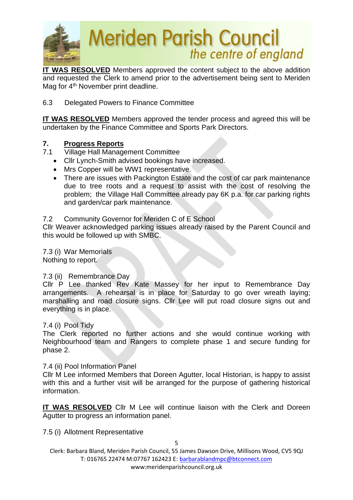

**IT WAS RESOLVED** Members approved the content subject to the above addition and requested the Clerk to amend prior to the advertisement being sent to Meriden Mag for 4<sup>th</sup> November print deadline.

#### 6.3 Delegated Powers to Finance Committee

**IT WAS RESOLVED** Members approved the tender process and agreed this will be undertaken by the Finance Committee and Sports Park Directors.

### **7. Progress Reports**

- 7.1 Village Hall Management Committee
	- Cllr Lynch-Smith advised bookings have increased.
	- Mrs Copper will be WW1 representative.
	- There are issues with Packington Estate and the cost of car park maintenance due to tree roots and a request to assist with the cost of resolving the problem; the Village Hall Committee already pay 6K p.a. for car parking rights and garden/car park maintenance.

#### 7.2 Community Governor for Meriden C of E School

Cllr Weaver acknowledged parking issues already raised by the Parent Council and this would be followed up with SMBC.

7.3 (i) War Memorials Nothing to report.

#### 7.3 (ii) Remembrance Day

Cllr P Lee thanked Rev Kate Massey for her input to Remembrance Day arrangements. A rehearsal is in place for Saturday to go over wreath laying; marshalling and road closure signs. Cllr Lee will put road closure signs out and everything is in place.

#### 7.4 (i) Pool Tidy

The Clerk reported no further actions and she would continue working with Neighbourhood team and Rangers to complete phase 1 and secure funding for phase 2.

#### 7.4 (ii) Pool Information Panel

Cllr M Lee informed Members that Doreen Agutter, local Historian, is happy to assist with this and a further visit will be arranged for the purpose of gathering historical information.

**IT WAS RESOLVED** Cllr M Lee will continue liaison with the Clerk and Doreen Agutter to progress an information panel.

7.5 (i) Allotment Representative

5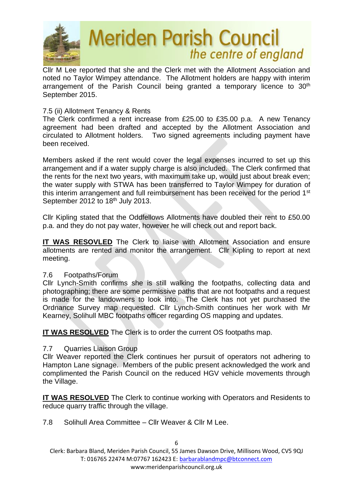

Cllr M Lee reported that she and the Clerk met with the Allotment Association and noted no Taylor Wimpey attendance. The Allotment holders are happy with interim arrangement of the Parish Council being granted a temporary licence to 30<sup>th</sup> September 2015.

#### 7.5 (ii) Allotment Tenancy & Rents

The Clerk confirmed a rent increase from £25.00 to £35.00 p.a. A new Tenancy agreement had been drafted and accepted by the Allotment Association and circulated to Allotment holders. Two signed agreements including payment have been received.

Members asked if the rent would cover the legal expenses incurred to set up this arrangement and if a water supply charge is also included. The Clerk confirmed that the rents for the next two years, with maximum take up, would just about break even; the water supply with STWA has been transferred to Taylor Wimpey for duration of this interim arrangement and full reimbursement has been received for the period 1<sup>st</sup> September 2012 to 18th July 2013.

Cllr Kipling stated that the Oddfellows Allotments have doubled their rent to £50.00 p.a. and they do not pay water, however he will check out and report back.

**IT WAS RESOVLED** The Clerk to liaise with Allotment Association and ensure allotments are rented and monitor the arrangement. Cllr Kipling to report at next meeting.

#### 7.6 Footpaths/Forum

Cllr Lynch-Smith confirms she is still walking the footpaths, collecting data and photographing; there are some permissive paths that are not footpaths and a request is made for the landowners to look into. The Clerk has not yet purchased the Ordnance Survey map requested. Cllr Lynch-Smith continues her work with Mr Kearney, Solihull MBC footpaths officer regarding OS mapping and updates.

**IT WAS RESOLVED** The Clerk is to order the current OS footpaths map.

#### 7.7 Quarries Liaison Group

Cllr Weaver reported the Clerk continues her pursuit of operators not adhering to Hampton Lane signage. Members of the public present acknowledged the work and complimented the Parish Council on the reduced HGV vehicle movements through the Village.

**IT WAS RESOLVED** The Clerk to continue working with Operators and Residents to reduce quarry traffic through the village.

7.8 Solihull Area Committee – Cllr Weaver & Cllr M Lee.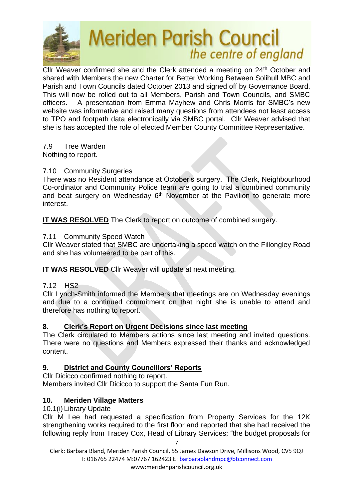

Cllr Weaver confirmed she and the Clerk attended a meeting on 24<sup>th</sup> October and shared with Members the new Charter for Better Working Between Solihull MBC and Parish and Town Councils dated October 2013 and signed off by Governance Board. This will now be rolled out to all Members, Parish and Town Councils, and SMBC officers. A presentation from Emma Mayhew and Chris Morris for SMBC's new website was informative and raised many questions from attendees not least access to TPO and footpath data electronically via SMBC portal. Cllr Weaver advised that she is has accepted the role of elected Member County Committee Representative.

7.9 Tree Warden Nothing to report.

## 7.10 Community Surgeries

There was no Resident attendance at October's surgery. The Clerk, Neighbourhood Co-ordinator and Community Police team are going to trial a combined community and beat surgery on Wednesday 6<sup>th</sup> November at the Pavilion to generate more interest.

**IT WAS RESOLVED** The Clerk to report on outcome of combined surgery.

## 7.11 Community Speed Watch

Cllr Weaver stated that SMBC are undertaking a speed watch on the Fillongley Road and she has volunteered to be part of this.

**IT WAS RESOLVED** Cllr Weaver will update at next meeting.

## 7.12 HS2

Cllr Lynch-Smith informed the Members that meetings are on Wednesday evenings and due to a continued commitment on that night she is unable to attend and therefore has nothing to report.

## **8. Clerk's Report on Urgent Decisions since last meeting**

The Clerk circulated to Members actions since last meeting and invited questions. There were no questions and Members expressed their thanks and acknowledged content.

## **9. District and County Councillors' Reports**

Cllr Dicicco confirmed nothing to report. Members invited Cllr Dicicco to support the Santa Fun Run.

## **10. Meriden Village Matters**

## 10.1(i) Library Update

Cllr M Lee had requested a specification from Property Services for the 12K strengthening works required to the first floor and reported that she had received the following reply from Tracey Cox, Head of Library Services; "the budget proposals for

7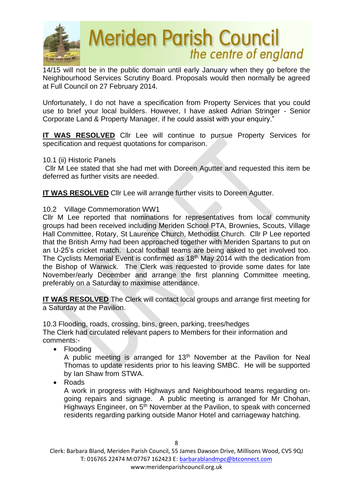

14/15 will not be in the public domain until early January when they go before the Neighbourhood Services Scrutiny Board. Proposals would then normally be agreed at Full Council on 27 February 2014.

Unfortunately, I do not have a specification from Property Services that you could use to brief your local builders. However, I have asked Adrian Stringer - Senior Corporate Land & Property Manager, if he could assist with your enquiry."

**IT WAS RESOLVED** Cllr Lee will continue to pursue Property Services for specification and request quotations for comparison.

#### 10.1 (ii) Historic Panels

 Cllr M Lee stated that she had met with Doreen Agutter and requested this item be deferred as further visits are needed.

**IT WAS RESOLVED** Cllr Lee will arrange further visits to Doreen Agutter.

#### 10.2 Village Commemoration WW1

Cllr M Lee reported that nominations for representatives from local community groups had been received including Meriden School PTA, Brownies, Scouts, Village Hall Committee, Rotary, St Laurence Church, Methodist Church. Cllr P Lee reported that the British Army had been approached together with Meriden Spartans to put on an U-25's cricket match. Local football teams are being asked to get involved too. The Cyclists Memorial Event is confirmed as 18th May 2014 with the dedication from the Bishop of Warwick. The Clerk was requested to provide some dates for late November/early December and arrange the first planning Committee meeting, preferably on a Saturday to maximise attendance.

**IT WAS RESOLVED** The Clerk will contact local groups and arrange first meeting for a Saturday at the Pavilion.

10.3 Flooding, roads, crossing, bins, green, parking, trees/hedges The Clerk had circulated relevant papers to Members for their information and comments:-

• Flooding

A public meeting is arranged for  $13<sup>th</sup>$  November at the Pavilion for Neal Thomas to update residents prior to his leaving SMBC. He will be supported by Ian Shaw from STWA.

• Roads

A work in progress with Highways and Neighbourhood teams regarding ongoing repairs and signage. A public meeting is arranged for Mr Chohan, Highways Engineer, on 5<sup>th</sup> November at the Pavilion, to speak with concerned residents regarding parking outside Manor Hotel and carriageway hatching.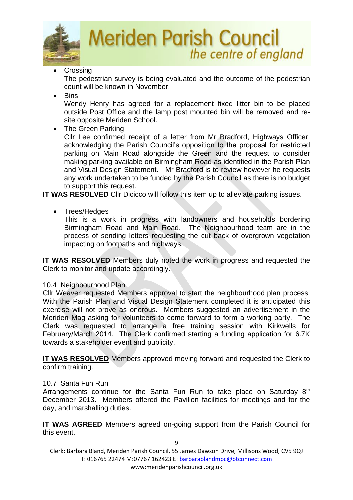

**Crossing** 

The pedestrian survey is being evaluated and the outcome of the pedestrian count will be known in November.

• Bins

Wendy Henry has agreed for a replacement fixed litter bin to be placed outside Post Office and the lamp post mounted bin will be removed and resite opposite Meriden School.

• The Green Parking

Cllr Lee confirmed receipt of a letter from Mr Bradford, Highways Officer, acknowledging the Parish Council's opposition to the proposal for restricted parking on Main Road alongside the Green and the request to consider making parking available on Birmingham Road as identified in the Parish Plan and Visual Design Statement. Mr Bradford is to review however he requests any work undertaken to be funded by the Parish Council as there is no budget to support this request.

**IT WAS RESOLVED** Cllr Dicicco will follow this item up to alleviate parking issues.

• Trees/Hedges

This is a work in progress with landowners and households bordering Birmingham Road and Main Road. The Neighbourhood team are in the process of sending letters requesting the cut back of overgrown vegetation impacting on footpaths and highways.

**IT WAS RESOLVED** Members duly noted the work in progress and requested the Clerk to monitor and update accordingly.

## 10.4 Neighbourhood Plan

Cllr Weaver requested Members approval to start the neighbourhood plan process. With the Parish Plan and Visual Design Statement completed it is anticipated this exercise will not prove as onerous. Members suggested an advertisement in the Meriden Mag asking for volunteers to come forward to form a working party. The Clerk was requested to arrange a free training session with Kirkwells for February/March 2014. The Clerk confirmed starting a funding application for 6.7K towards a stakeholder event and publicity.

**IT WAS RESOLVED** Members approved moving forward and requested the Clerk to confirm training.

## 10.7 Santa Fun Run

Arrangements continue for the Santa Fun Run to take place on Saturday 8<sup>th</sup> December 2013. Members offered the Pavilion facilities for meetings and for the day, and marshalling duties.

**IT WAS AGREED** Members agreed on-going support from the Parish Council for this event.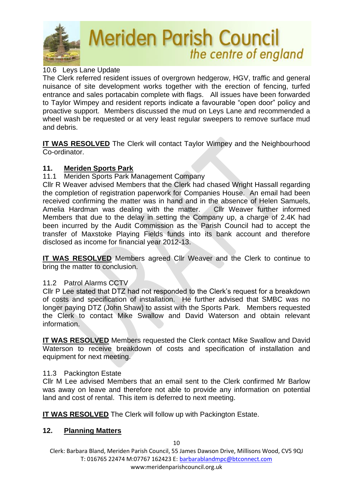

### 10.6 Leys Lane Update

The Clerk referred resident issues of overgrown hedgerow, HGV, traffic and general nuisance of site development works together with the erection of fencing, turfed entrance and sales portacabin complete with flags. All issues have been forwarded to Taylor Wimpey and resident reports indicate a favourable "open door" policy and proactive support. Members discussed the mud on Leys Lane and recommended a wheel wash be requested or at very least regular sweepers to remove surface mud and debris.

**IT WAS RESOLVED** The Clerk will contact Taylor Wimpey and the Neighbourhood Co-ordinator.

#### **11. Meriden Sports Park**

11.1 Meriden Sports Park Management Company

Cllr R Weaver advised Members that the Clerk had chased Wright Hassall regarding the completion of registration paperwork for Companies House. An email had been received confirming the matter was in hand and in the absence of Helen Samuels, Amelia Hardman was dealing with the matter. Cllr Weaver further informed Members that due to the delay in setting the Company up, a charge of 2.4K had been incurred by the Audit Commission as the Parish Council had to accept the transfer of Maxstoke Playing Fields funds into its bank account and therefore disclosed as income for financial year 2012-13.

**IT WAS RESOLVED** Members agreed Cllr Weaver and the Clerk to continue to bring the matter to conclusion.

#### 11.2 Patrol Alarms CCTV

Cllr P Lee stated that DTZ had not responded to the Clerk's request for a breakdown of costs and specification of installation. He further advised that SMBC was no longer paying DTZ (John Shaw) to assist with the Sports Park. Members requested the Clerk to contact Mike Swallow and David Waterson and obtain relevant information.

**IT WAS RESOLVED** Members requested the Clerk contact Mike Swallow and David Waterson to receive breakdown of costs and specification of installation and equipment for next meeting.

#### 11.3 Packington Estate

Cllr M Lee advised Members that an email sent to the Clerk confirmed Mr Barlow was away on leave and therefore not able to provide any information on potential land and cost of rental. This item is deferred to next meeting.

**IT WAS RESOLVED** The Clerk will follow up with Packington Estate.

#### **12. Planning Matters**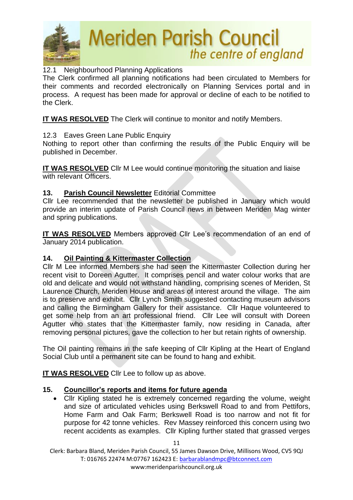

## 12.1 Neighbourhood Planning Applications

The Clerk confirmed all planning notifications had been circulated to Members for their comments and recorded electronically on Planning Services portal and in process. A request has been made for approval or decline of each to be notified to the Clerk.

**IT WAS RESOLVED** The Clerk will continue to monitor and notify Members.

## 12.3 Eaves Green Lane Public Enquiry

Nothing to report other than confirming the results of the Public Enquiry will be published in December.

**IT WAS RESOLVED** Cllr M Lee would continue monitoring the situation and liaise with relevant Officers.

## **13. Parish Council Newsletter** Editorial Committee

Cllr Lee recommended that the newsletter be published in January which would provide an interim update of Parish Council news in between Meriden Mag winter and spring publications.

**IT WAS RESOLVED** Members approved Cllr Lee's recommendation of an end of January 2014 publication.

## **14. Oil Painting & Kittermaster Collection**

Cllr M Lee informed Members she had seen the Kittermaster Collection during her recent visit to Doreen Agutter. It comprises pencil and water colour works that are old and delicate and would not withstand handling, comprising scenes of Meriden, St Laurence Church, Meriden House and areas of interest around the village. The aim is to preserve and exhibit. Cllr Lynch Smith suggested contacting museum advisors and calling the Birmingham Gallery for their assistance. Cllr Haque volunteered to get some help from an art professional friend. Cllr Lee will consult with Doreen Agutter who states that the Kittermaster family, now residing in Canada, after removing personal pictures, gave the collection to her but retain rights of ownership.

The Oil painting remains in the safe keeping of Cllr Kipling at the Heart of England Social Club until a permanent site can be found to hang and exhibit.

**IT WAS RESOLVED** Cllr Lee to follow up as above.

#### **15. Councillor's reports and items for future agenda**

• Cllr Kipling stated he is extremely concerned regarding the volume, weight and size of articulated vehicles using Berkswell Road to and from Pettifors, Home Farm and Oak Farm; Berkswell Road is too narrow and not fit for purpose for 42 tonne vehicles. Rev Massey reinforced this concern using two recent accidents as examples. Cllr Kipling further stated that grassed verges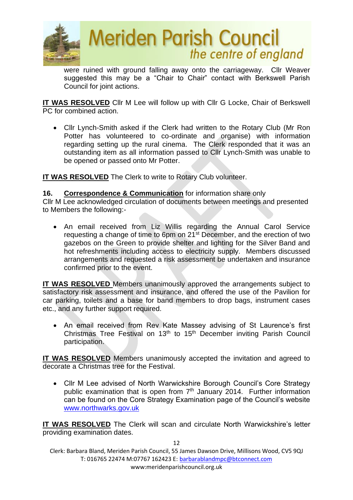

were ruined with ground falling away onto the carriageway. Cllr Weaver suggested this may be a "Chair to Chair" contact with Berkswell Parish Council for joint actions.

**IT WAS RESOLVED** Cllr M Lee will follow up with Cllr G Locke, Chair of Berkswell PC for combined action.

• Cllr Lynch-Smith asked if the Clerk had written to the Rotary Club (Mr Ron Potter has volunteered to co-ordinate and organise) with information regarding setting up the rural cinema. The Clerk responded that it was an outstanding item as all information passed to Cllr Lynch-Smith was unable to be opened or passed onto Mr Potter.

**IT WAS RESOLVED** The Clerk to write to Rotary Club volunteer.

### **16. Correspondence & Communication** for information share only

Cllr M Lee acknowledged circulation of documents between meetings and presented to Members the following:-

• An email received from Liz Willis regarding the Annual Carol Service requesting a change of time to 6pm on 21<sup>st</sup> December, and the erection of two gazebos on the Green to provide shelter and lighting for the Silver Band and hot refreshments including access to electricity supply. Members discussed arrangements and requested a risk assessment be undertaken and insurance confirmed prior to the event.

**IT WAS RESOLVED** Members unanimously approved the arrangements subject to satisfactory risk assessment and insurance, and offered the use of the Pavilion for car parking, toilets and a base for band members to drop bags, instrument cases etc., and any further support required.

• An email received from Rev Kate Massey advising of St Laurence's first Christmas Tree Festival on 13<sup>th</sup> to 15<sup>th</sup> December inviting Parish Council participation.

**IT WAS RESOLVED** Members unanimously accepted the invitation and agreed to decorate a Christmas tree for the Festival.

• Cllr M Lee advised of North Warwickshire Borough Council's Core Strategy public examination that is open from  $7<sup>th</sup>$  January 2014. Further information can be found on the Core Strategy Examination page of the Council's website [www.northwarks.gov.uk](http://www.northwarks.gov.uk/)

**IT WAS RESOLVED** The Clerk will scan and circulate North Warwickshire's letter providing examination dates.